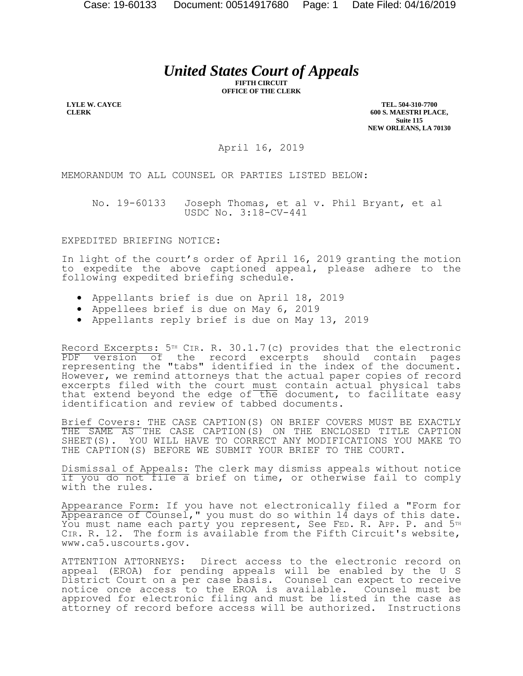## *United States Court of Appeals*

**FIFTH CIRCUIT OFFICE OF THE CLERK**

**LYLE W. CAYCE CLERK**

**TEL. 504-310-7700 600 S. MAESTRI PLACE, Suite 115 NEW ORLEANS, LA 70130**

April 16, 2019

MEMORANDUM TO ALL COUNSEL OR PARTIES LISTED BELOW:

No. 19-60133 Joseph Thomas, et al v. Phil Bryant, et al USDC No. 3:18-CV-441

EXPEDITED BRIEFING NOTICE:

In light of the court's order of April 16, 2019 granting the motion to expedite the above captioned appeal, please adhere to the following expedited briefing schedule.

- Appellants brief is due on April 18, 2019
- Appellees brief is due on May 6, 2019
- Appellants reply brief is due on May 13, 2019

Record Excerpts:  $5<sup>TH</sup> CIR. R. 30.1.7(c)$  provides that the electronic PDF version of the record excerpts should contain pages representing the "tabs" identified in the index of the document. However, we remind attorneys that the actual paper copies of record excerpts filed with the court must contain actual physical tabs that extend beyond the edge of the document, to facilitate easy identification and review of tabbed documents.

Brief Covers: THE CASE CAPTION(S) ON BRIEF COVERS MUST BE EXACTLY THE SAME AS THE CASE CAPTION(S) ON THE ENCLOSED TITLE CAPTION SHEET(S). YOU WILL HAVE TO CORRECT ANY MODIFICATIONS YOU MAKE TO THE CAPTION(S) BEFORE WE SUBMIT YOUR BRIEF TO THE COURT.

Dismissal of Appeals: The clerk may dismiss appeals without notice if you do not file a brief on time, or otherwise fail to comply with the rules.

Appearance Form: If you have not electronically filed a "Form for Appearance of Counsel," you must do so within  $14$  days of this date. You must name each party you represent, See FED. R. APP. P. and 5TH CIR. R. 12. The form is available from the Fifth Circuit's website, www.ca5.uscourts.gov.

ATTENTION ATTORNEYS: Direct access to the electronic record on appeal (EROA) for pending appeals will be enabled by the U S District Court on a per case basis. Counsel can expect to receive notice once access to the EROA is available. Counsel must be approved for electronic filing and must be listed in the case as attorney of record before access will be authorized. Instructions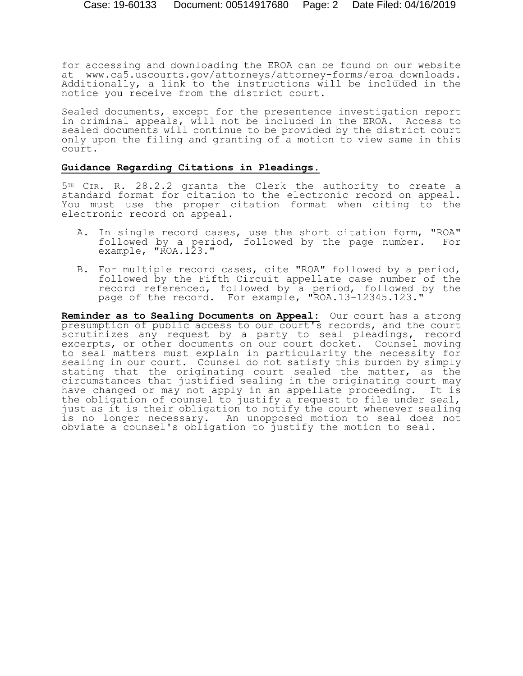for accessing and downloading the EROA can be found on our website at www.ca5.uscourts.gov/attorneys/attorney-forms/eroa\_downloads. Additionally, a link to the instructions will be included in the notice you receive from the district court.

Sealed documents, except for the presentence investigation report in criminal appeals, will not be included in the EROA. Access to sealed documents will continue to be provided by the district court only upon the filing and granting of a motion to view same in this court.

## **Guidance Regarding Citations in Pleadings.**

5<sup>TH</sup> CIR. R. 28.2.2 grants the Clerk the authority to create a standard format for citation to the electronic record on appeal. You must use the proper citation format when citing to the electronic record on appeal.

- A. In single record cases, use the short citation form, "ROA" followed by a period, followed by the page number. For example, "ROA.123."
- B. For multiple record cases, cite "ROA" followed by a period, followed by the Fifth Circuit appellate case number of the record referenced, followed by a period, followed by the page of the record. For example, "ROA.13-12345.123."

**Reminder as to Sealing Documents on Appeal:** Our court has a strong presumption of public access to our court's records, and the court scrutinizes any request by a party to seal pleadings, record excerpts, or other documents on our court docket. Counsel moving to seal matters must explain in particularity the necessity for sealing in our court. Counsel do not satisfy this burden by simply stating that the originating court sealed the matter, as the circumstances that justified sealing in the originating court may have changed or may not apply in an appellate proceeding. It is the obligation of counsel to justify a request to file under seal, just as it is their obligation to notify the court whenever sealing is no longer necessary. An unopposed motion to seal does not obviate a counsel's obligation to justify the motion to seal.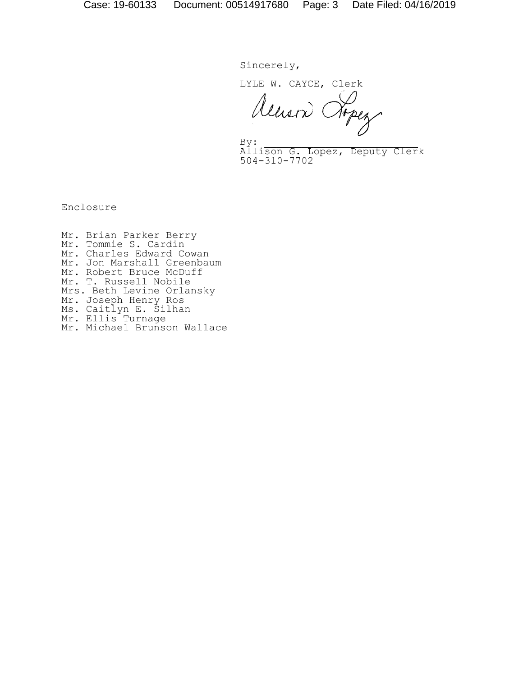Sincerely,

LYLE W. CAYCE, Clerk<br>Alusn Arpez

 $By:$ Allison G. Lopez, Deputy Clerk 504-310-7702

Enclosure

Mr. Brian Parker Berry Mr. Tommie S. Cardin Mr. Charles Edward Cowan Mr. Jon Marshall Greenbaum Mr. Robert Bruce McDuff Mr. T. Russell Nobile Mrs. Beth Levine Orlansky Mr. Joseph Henry Ros Ms. Caitlyn E. Silhan Mr. Ellis<sup>t</sup> Turnage Mr. Michael Brunson Wallace